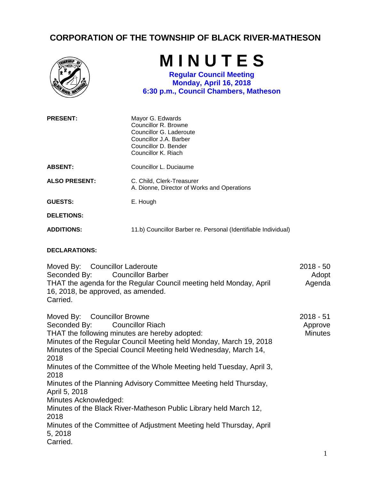## **CORPORATION OF THE TOWNSHIP OF BLACK RIVER-MATHESON**

| <b><i><u>INCH-V</u></i></b>    | MINUTES<br><b>Regular Council Meeting</b><br>Monday, April 16, 2018<br>6:30 p.m., Council Chambers, Matheson                                 |             |
|--------------------------------|----------------------------------------------------------------------------------------------------------------------------------------------|-------------|
| <b>PRESENT:</b>                | Mayor G. Edwards<br>Councillor R. Browne<br>Councillor G. Laderoute<br>Councillor J.A. Barber<br>Councillor D. Bender<br>Councillor K. Riach |             |
| <b>ABSENT:</b>                 | Councillor L. Duciaume                                                                                                                       |             |
| <b>ALSO PRESENT:</b>           | C. Child, Clerk-Treasurer<br>A. Dionne, Director of Works and Operations                                                                     |             |
| <b>GUESTS:</b>                 | E. Hough                                                                                                                                     |             |
| <b>DELETIONS:</b>              |                                                                                                                                              |             |
| <b>ADDITIONS:</b>              | 11.b) Councillor Barber re. Personal (Identifiable Individual)                                                                               |             |
| <b>DECLARATIONS:</b>           |                                                                                                                                              |             |
| Moved By: Councillor Laderoute |                                                                                                                                              | $2018 - 50$ |

Seconded By: Councillor Barber THAT the agenda for the Regular Council meeting held Monday, April 16, 2018, be approved, as amended. Carried. Adopt Agenda

| Moved By: Councillor Browne                                          | $2018 - 51$    |
|----------------------------------------------------------------------|----------------|
| Seconded By: Councillor Riach                                        | Approve        |
| THAT the following minutes are hereby adopted:                       | <b>Minutes</b> |
| Minutes of the Regular Council Meeting held Monday, March 19, 2018   |                |
| Minutes of the Special Council Meeting held Wednesday, March 14,     |                |
| 2018                                                                 |                |
| Minutes of the Committee of the Whole Meeting held Tuesday, April 3, |                |
| 2018                                                                 |                |
| Minutes of the Planning Advisory Committee Meeting held Thursday,    |                |
| April 5, 2018                                                        |                |
| Minutes Acknowledged:                                                |                |
| Minutes of the Black River-Matheson Public Library held March 12,    |                |
| 2018                                                                 |                |
| Minutes of the Committee of Adjustment Meeting held Thursday, April  |                |
| 5, 2018                                                              |                |
| Carried.                                                             |                |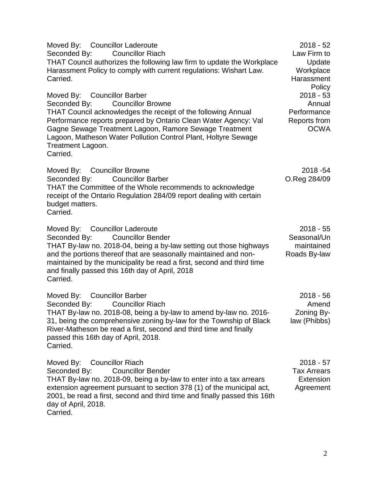Moved By: Councillor Laderoute Seconded By: Councillor Riach THAT Council authorizes the following law firm to update the Workplace Harassment Policy to comply with current regulations: Wishart Law. Carried. 2018 - 52 Law Firm to Update **Workplace Harassment** Policy Moved By: Councillor Barber Seconded By: Councillor Browne THAT Council acknowledges the receipt of the following Annual Performance reports prepared by Ontario Clean Water Agency: Val Gagne Sewage Treatment Lagoon, Ramore Sewage Treatment Lagoon, Matheson Water Pollution Control Plant, Holtyre Sewage Treatment Lagoon. Carried. 2018 - 53 Annual **Performance** Reports from OCWA Moved By: Councillor Browne Seconded By: Councillor Barber THAT the Committee of the Whole recommends to acknowledge receipt of the Ontario Regulation 284/09 report dealing with certain budget matters. Carried. 2018 -54 O.Reg 284/09 Moved By: Councillor Laderoute Seconded By: Councillor Bender THAT By-law no. 2018-04, being a by-law setting out those highways and the portions thereof that are seasonally maintained and nonmaintained by the municipality be read a first, second and third time and finally passed this 16th day of April, 2018 Carried. 2018 - 55 Seasonal/Un maintained Roads By-law Moved By: Councillor Barber Seconded By: Councillor Riach THAT By-law no. 2018-08, being a by-law to amend by-law no. 2016- 31, being the comprehensive zoning by-law for the Township of Black River-Matheson be read a first, second and third time and finally passed this 16th day of April, 2018. Carried. 2018 - 56 Amend Zoning Bylaw (Phibbs) Moved By: Councillor Riach Seconded By: Councillor Bender THAT By-law no. 2018-09, being a by-law to enter into a tax arrears extension agreement pursuant to section 378 (1) of the municipal act, 2001, be read a first, second and third time and finally passed this 16th day of April, 2018. Carried. 2018 - 57 Tax Arrears **Extension** Agreement